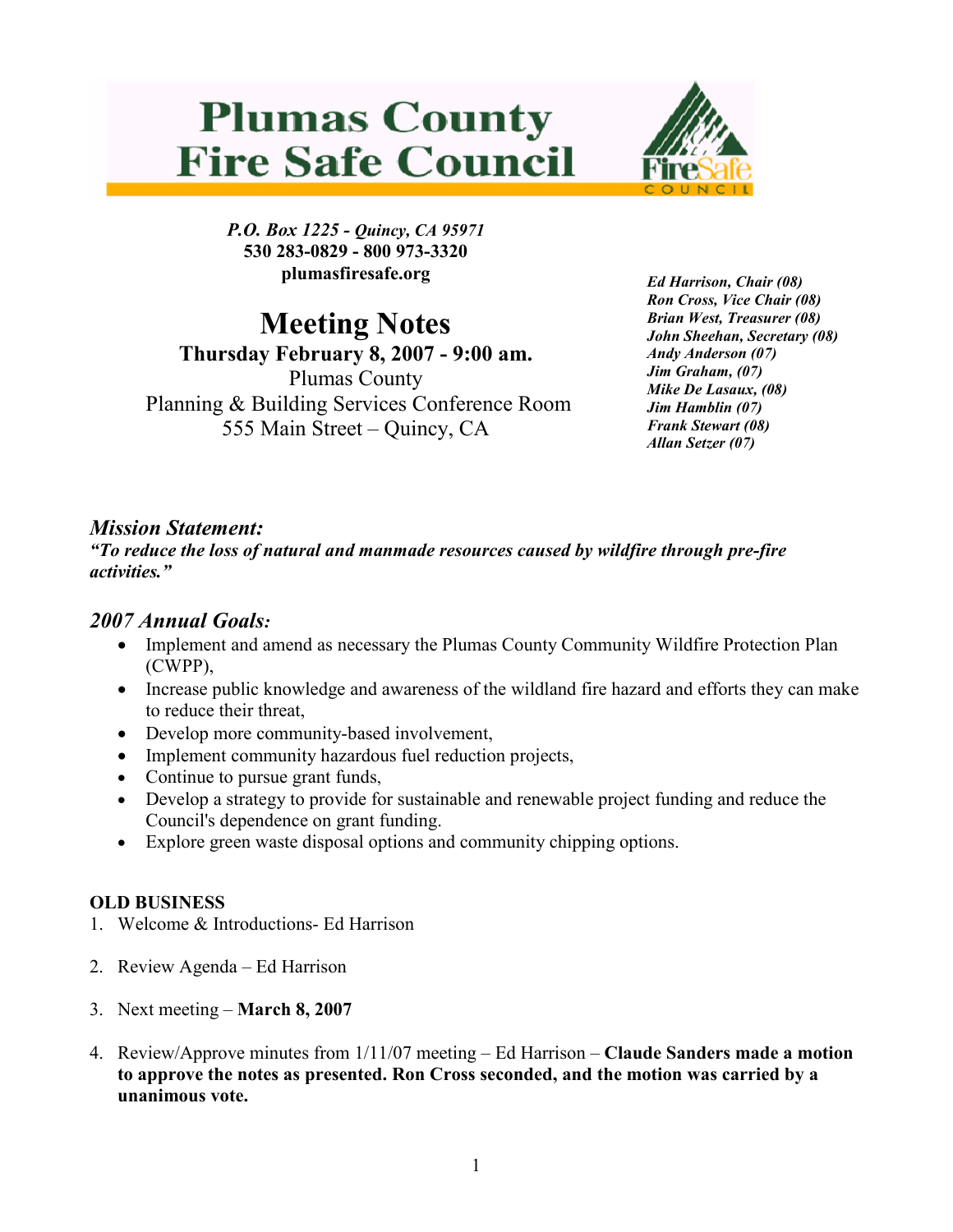# **Plumas County Fire Safe Council**



P.O. Box 1225 - Quincy, CA 95971 530 283-0829 - 800 973-3320 plumasfiresafe.org

Meeting Notes

Thursday February 8, 2007 - 9:00 am. Plumas County Planning & Building Services Conference Room 555 Main Street – Quincy, CA

Ed Harrison, Chair (08) Ron Cross, Vice Chair (08) Brian West, Treasurer (08) John Sheehan, Secretary (08) Andy Anderson (07) Jim Graham, (07) Mike De Lasaux, (08) Jim Hamblin (07) Frank Stewart (08) Allan Setzer (07)

## Mission Statement:

"To reduce the loss of natural and manmade resources caused by wildfire through pre-fire activities."

### 2007 Annual Goals:

- Implement and amend as necessary the Plumas County Community Wildfire Protection Plan (CWPP),
- Increase public knowledge and awareness of the wildland fire hazard and efforts they can make to reduce their threat,
- Develop more community-based involvement,
- Implement community hazardous fuel reduction projects,
- Continue to pursue grant funds,
- Develop a strategy to provide for sustainable and renewable project funding and reduce the Council's dependence on grant funding.
- Explore green waste disposal options and community chipping options.

#### OLD BUSINESS

- 1. Welcome & Introductions- Ed Harrison
- 2. Review Agenda Ed Harrison
- 3. Next meeting March 8, 2007
- 4. Review/Approve minutes from 1/11/07 meeting Ed Harrison Claude Sanders made a motion to approve the notes as presented. Ron Cross seconded, and the motion was carried by a unanimous vote.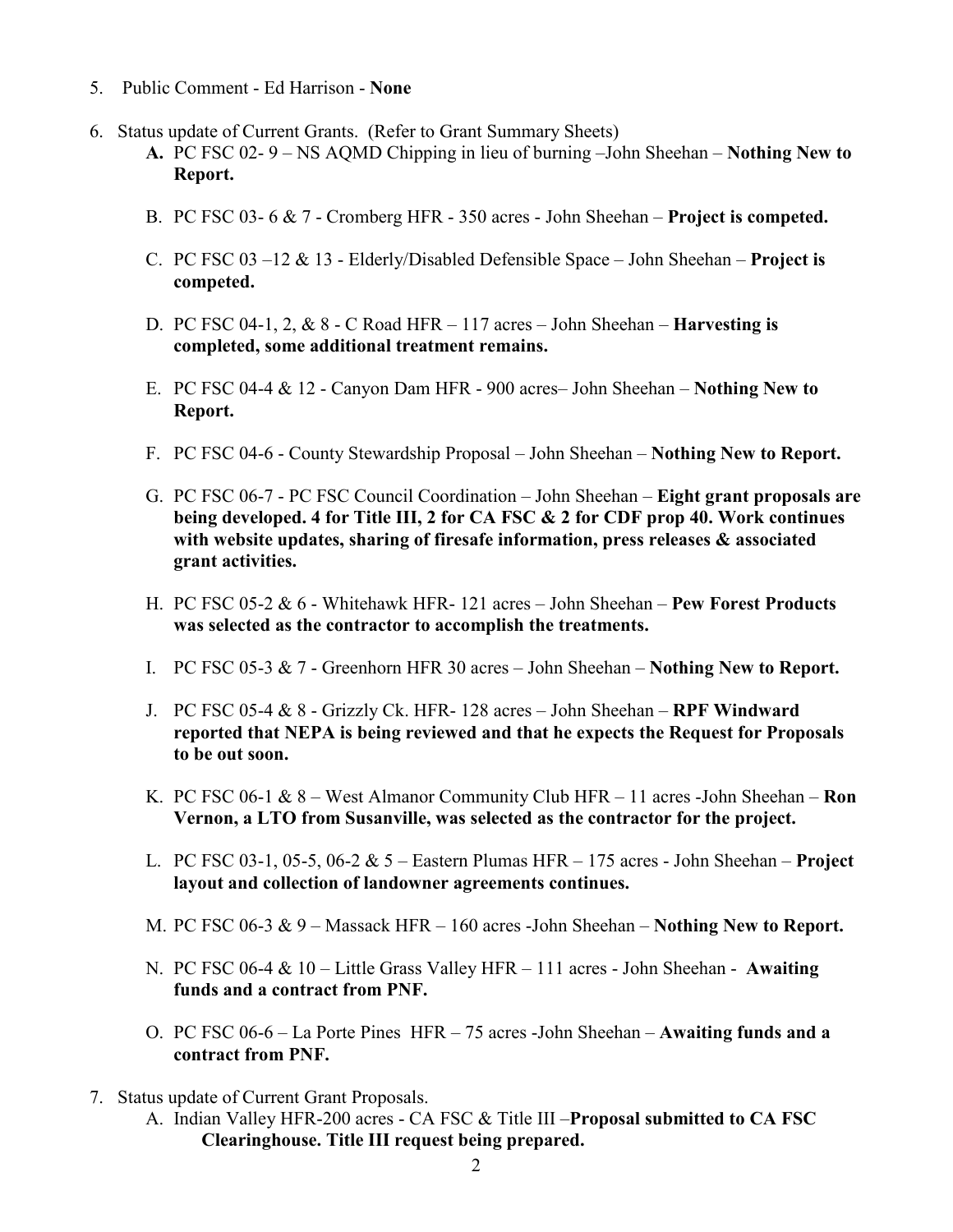- 5. Public Comment Ed Harrison None
- 6. Status update of Current Grants. (Refer to Grant Summary Sheets)
	- A. PC FSC 02- 9 NS AQMD Chipping in lieu of burning –John Sheehan Nothing New to Report.
	- B. PC FSC 03- 6 & 7 Cromberg HFR 350 acres John Sheehan Project is competed.
	- C. PC FSC  $03 12 \& 13$  Elderly/Disabled Defensible Space John Sheehan **Project is** competed.
	- D. PC FSC 04-1, 2, & 8 C Road HFR 117 acres John Sheehan Harvesting is completed, some additional treatment remains.
	- E. PC FSC 04-4  $\&$  12 Canyon Dam HFR 900 acres– John Sheehan **Nothing New to** Report.
	- F. PC FSC 04-6 County Stewardship Proposal John Sheehan Nothing New to Report.
	- G. PC FSC 06-7 PC FSC Council Coordination John Sheehan Eight grant proposals are being developed. 4 for Title III, 2 for CA FSC & 2 for CDF prop 40. Work continues with website updates, sharing of firesafe information, press releases & associated grant activities.
	- H. PC FSC 05-2 & 6 Whitehawk HFR- 121 acres John Sheehan Pew Forest Products was selected as the contractor to accomplish the treatments.
	- I. PC FSC 05-3 & 7 Greenhorn HFR 30 acres John Sheehan Nothing New to Report.
	- J. PC FSC 05-4  $& 8$  Grizzly Ck. HFR- 128 acres John Sheehan RPF Windward reported that NEPA is being reviewed and that he expects the Request for Proposals to be out soon.
	- K. PC FSC 06-1  $\& 8$  West Almanor Community Club HFR 11 acres -John Sheehan **Ron** Vernon, a LTO from Susanville, was selected as the contractor for the project.
	- L. PC FSC 03-1, 05-5, 06-2  $& 5$  Eastern Plumas HFR 175 acres John Sheehan **Project** layout and collection of landowner agreements continues.
	- M. PC FSC 06-3  $\& 9$  Massack HFR 160 acres -John Sheehan **Nothing New to Report.**
	- N. PC FSC 06-4 & 10 Little Grass Valley HFR 111 acres John Sheehan Awaiting funds and a contract from PNF.
	- O. PC FSC 06-6 La Porte Pines HFR 75 acres -John Sheehan Awaiting funds and a contract from PNF.
- 7. Status update of Current Grant Proposals.
	- A. Indian Valley HFR-200 acres CA FSC & Title III Proposal submitted to CA FSC Clearinghouse. Title III request being prepared.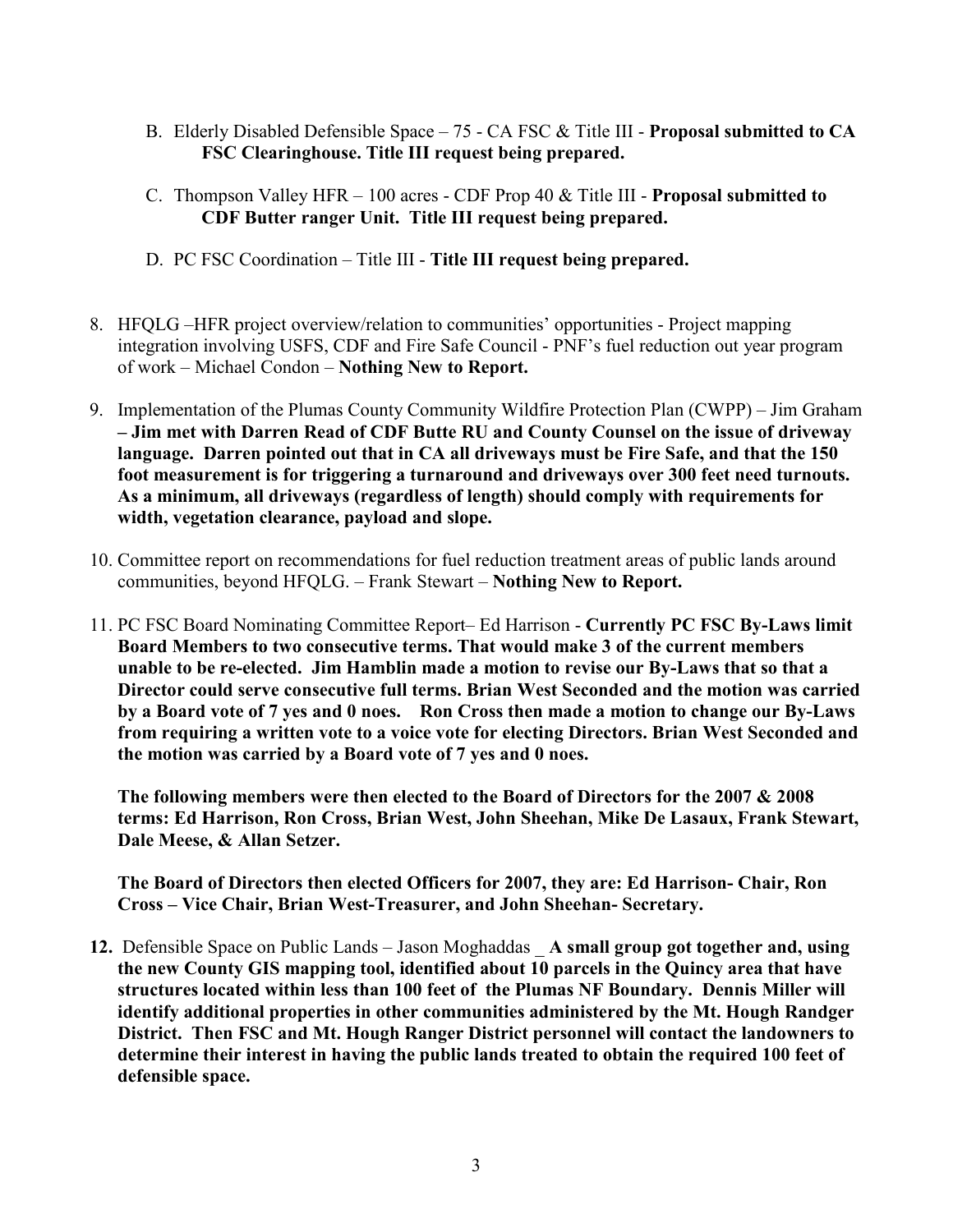- B. Elderly Disabled Defensible Space 75 CA FSC & Title III Proposal submitted to CA FSC Clearinghouse. Title III request being prepared.
- C. Thompson Valley HFR 100 acres CDF Prop 40 & Title III Proposal submitted to CDF Butter ranger Unit. Title III request being prepared.
- D. PC FSC Coordination Title III Title III request being prepared.
- 8. HFQLG –HFR project overview/relation to communities' opportunities Project mapping integration involving USFS, CDF and Fire Safe Council - PNF's fuel reduction out year program of work – Michael Condon – Nothing New to Report.
- 9. Implementation of the Plumas County Community Wildfire Protection Plan (CWPP) Jim Graham – Jim met with Darren Read of CDF Butte RU and County Counsel on the issue of driveway language. Darren pointed out that in CA all driveways must be Fire Safe, and that the 150 foot measurement is for triggering a turnaround and driveways over 300 feet need turnouts. As a minimum, all driveways (regardless of length) should comply with requirements for width, vegetation clearance, payload and slope.
- 10. Committee report on recommendations for fuel reduction treatment areas of public lands around communities, beyond HFQLG. – Frank Stewart – Nothing New to Report.
- 11. PC FSC Board Nominating Committee Report– Ed Harrison Currently PC FSC By-Laws limit Board Members to two consecutive terms. That would make 3 of the current members unable to be re-elected. Jim Hamblin made a motion to revise our By-Laws that so that a Director could serve consecutive full terms. Brian West Seconded and the motion was carried by a Board vote of 7 yes and 0 noes. Ron Cross then made a motion to change our By-Laws from requiring a written vote to a voice vote for electing Directors. Brian West Seconded and the motion was carried by a Board vote of 7 yes and 0 noes.

The following members were then elected to the Board of Directors for the 2007 & 2008 terms: Ed Harrison, Ron Cross, Brian West, John Sheehan, Mike De Lasaux, Frank Stewart, Dale Meese, & Allan Setzer.

The Board of Directors then elected Officers for 2007, they are: Ed Harrison- Chair, Ron Cross – Vice Chair, Brian West-Treasurer, and John Sheehan- Secretary.

12. Defensible Space on Public Lands – Jason Moghaddas A small group got together and, using the new County GIS mapping tool, identified about 10 parcels in the Quincy area that have structures located within less than 100 feet of the Plumas NF Boundary. Dennis Miller will identify additional properties in other communities administered by the Mt. Hough Randger District. Then FSC and Mt. Hough Ranger District personnel will contact the landowners to determine their interest in having the public lands treated to obtain the required 100 feet of defensible space.